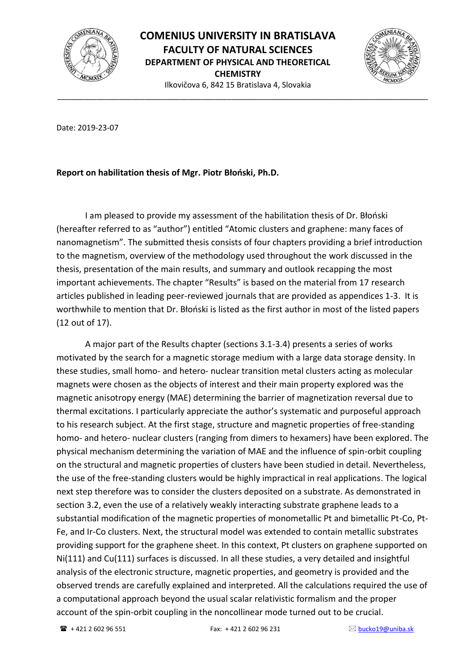

\_\_\_\_\_\_\_\_\_\_\_\_\_\_\_\_\_\_\_\_\_\_\_\_\_\_\_\_\_\_\_\_\_\_\_\_\_\_\_\_\_\_\_\_\_\_\_\_\_\_\_\_\_\_\_\_\_\_\_\_\_\_\_\_\_\_\_\_\_\_\_\_\_\_\_\_\_\_\_\_\_\_\_\_\_



Date: 2019-23-07

## **Report on habilitation thesis of Mgr. Piotr Błoński, Ph.D.**

I am pleased to provide my assessment of the habilitation thesis of Dr. Błoński (hereafter referred to as "author") entitled "Atomic clusters and graphene: many faces of nanomagnetism". The submitted thesis consists of four chapters providing a brief introduction to the magnetism, overview of the methodology used throughout the work discussed in the thesis, presentation of the main results, and summary and outlook recapping the most important achievements. The chapter "Results" is based on the material from 17 research articles published in leading peer-reviewed journals that are provided as appendices 1-3. It is worthwhile to mention that Dr. Błoński is listed as the first author in most of the listed papers (12 out of 17).

A major part of the Results chapter (sections 3.1-3.4) presents a series of works motivated by the search for a magnetic storage medium with a large data storage density. In these studies, small homo- and hetero- nuclear transition metal clusters acting as molecular magnets were chosen as the objects of interest and their main property explored was the magnetic anisotropy energy (MAE) determining the barrier of magnetization reversal due to thermal excitations. I particularly appreciate the author's systematic and purposeful approach to his research subject. At the first stage, structure and magnetic properties of free-standing homo- and hetero- nuclear clusters (ranging from dimers to hexamers) have been explored. The physical mechanism determining the variation of MAE and the influence of spin-orbit coupling on the structural and magnetic properties of clusters have been studied in detail. Nevertheless, the use of the free-standing clusters would be highly impractical in real applications. The logical next step therefore was to consider the clusters deposited on a substrate. As demonstrated in section 3.2, even the use of a relatively weakly interacting substrate graphene leads to a substantial modification of the magnetic properties of monometallic Pt and bimetallic Pt-Co, Pt-Fe, and Ir-Co clusters. Next, the structural model was extended to contain metallic substrates providing support for the graphene sheet. In this context, Pt clusters on graphene supported on Ni(111) and Cu(111) surfaces is discussed. In all these studies, a very detailed and insightful analysis of the electronic structure, magnetic properties, and geometry is provided and the observed trends are carefully explained and interpreted. All the calculations required the use of a computational approach beyond the usual scalar relativistic formalism and the proper account of the spin-orbit coupling in the noncollinear mode turned out to be crucial.